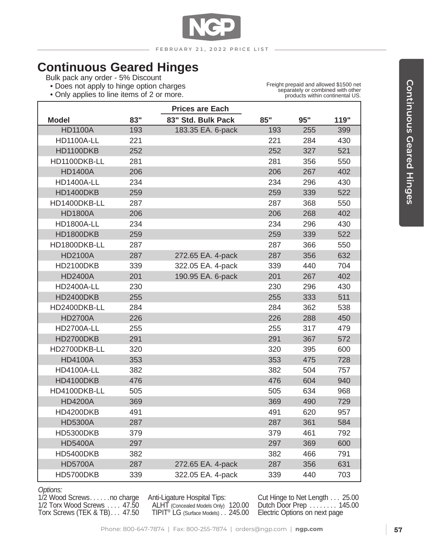

# **Continuous Geared Hinges**

Bulk pack any order - 5% Discount

- Does not apply to hinge option charges
- Only applies to line items of 2 or more.

Freight prepaid and allowed \$1500 net separately or combined with other products within continental US.

٦

|                   |     | <b>Prices are Each</b> |     |     |      |
|-------------------|-----|------------------------|-----|-----|------|
| <b>Model</b>      | 83" | 83" Std. Bulk Pack     | 85" | 95" | 119" |
| <b>HD1100A</b>    | 193 | 183.35 EA. 6-pack      | 193 | 255 | 399  |
| <b>HD1100A-LL</b> | 221 |                        | 221 | 284 | 430  |
| HD1100DKB         | 252 |                        | 252 | 327 | 521  |
| HD1100DKB-LL      | 281 |                        | 281 | 356 | 550  |
| <b>HD1400A</b>    | 206 |                        | 206 | 267 | 402  |
| <b>HD1400A-LL</b> | 234 |                        | 234 | 296 | 430  |
| HD1400DKB         | 259 |                        | 259 | 339 | 522  |
| HD1400DKB-LL      | 287 |                        | 287 | 368 | 550  |
| <b>HD1800A</b>    | 206 |                        | 206 | 268 | 402  |
| <b>HD1800A-LL</b> | 234 |                        | 234 | 296 | 430  |
| HD1800DKB         | 259 |                        | 259 | 339 | 522  |
| HD1800DKB-LL      | 287 |                        | 287 | 366 | 550  |
| <b>HD2100A</b>    | 287 | 272.65 EA. 4-pack      | 287 | 356 | 632  |
| <b>HD2100DKB</b>  | 339 | 322.05 EA. 4-pack      | 339 | 440 | 704  |
| <b>HD2400A</b>    | 201 | 190.95 EA. 6-pack      | 201 | 267 | 402  |
| <b>HD2400A-LL</b> | 230 |                        | 230 | 296 | 430  |
| <b>HD2400DKB</b>  | 255 |                        | 255 | 333 | 511  |
| HD2400DKB-LL      | 284 |                        | 284 | 362 | 538  |
| <b>HD2700A</b>    | 226 |                        | 226 | 288 | 450  |
| <b>HD2700A-LL</b> | 255 |                        | 255 | 317 | 479  |
| HD2700DKB         | 291 |                        | 291 | 367 | 572  |
| HD2700DKB-LL      | 320 |                        | 320 | 395 | 600  |
| <b>HD4100A</b>    | 353 |                        | 353 | 475 | 728  |
| <b>HD4100A-LL</b> | 382 |                        | 382 | 504 | 757  |
| HD4100DKB         | 476 |                        | 476 | 604 | 940  |
| HD4100DKB-LL      | 505 |                        | 505 | 634 | 968  |
| <b>HD4200A</b>    | 369 |                        | 369 | 490 | 729  |
| HD4200DKB         | 491 |                        | 491 | 620 | 957  |
| <b>HD5300A</b>    | 287 |                        | 287 | 361 | 584  |
| <b>HD5300DKB</b>  | 379 |                        | 379 | 461 | 792  |
| <b>HD5400A</b>    | 297 |                        | 297 | 369 | 600  |
| HD5400DKB         | 382 |                        | 382 | 466 | 791  |
| <b>HD5700A</b>    | 287 | 272.65 EA. 4-pack      | 287 | 356 | 631  |
| HD5700DKB         | 339 | 322.05 EA. 4-pack      | 339 | 440 | 703  |

*Options:*

1/2 Wood Screws. . . . . . no charge 1/2 Torx Wood Screws . . . . 47.50 Torx Screws (TEK & TB). . . 47.50

Anti-Ligature Hospital Tips: ALHT (Concealed Models Only) 120.00 TIPIT<sup>®</sup> LG (Surface Models).. 245.00

Cut Hinge to Net Length. . . 25.00 Dutch Door Prep . . . . . . . 145.00 Electric Options on next page